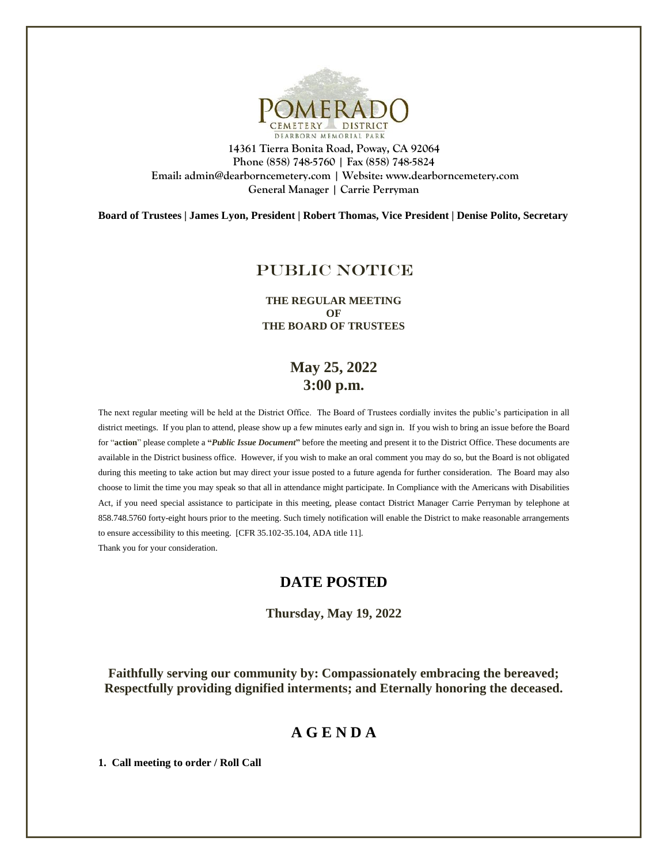

**14361 Tierra Bonita Road, Poway, CA 92064 Phone (858) 748-5760 | Fax (858) 748-5824 Email: admin@dearborncemetery.com | Website[: www.dearborncemetery.com](http://www.dearborncemetery.com/) General Manager | Carrie Perryman**

**Board of Trustees | James Lyon, President | Robert Thomas, Vice President | Denise Polito, Secretary**

# PUBLIC NOTICE

**THE REGULAR MEETING OF THE BOARD OF TRUSTEES**

# **May 25, 2022 3:00 p.m.**

The next regular meeting will be held at the District Office. The Board of Trustees cordially invites the public's participation in all district meetings. If you plan to attend, please show up a few minutes early and sign in. If you wish to bring an issue before the Board for "**action**" please complete a **"***Public Issue Document***"** before the meeting and present it to the District Office. These documents are available in the District business office. However, if you wish to make an oral comment you may do so, but the Board is not obligated during this meeting to take action but may direct your issue posted to a future agenda for further consideration. The Board may also choose to limit the time you may speak so that all in attendance might participate. In Compliance with the Americans with Disabilities Act, if you need special assistance to participate in this meeting, please contact District Manager Carrie Perryman by telephone at 858.748.5760 forty-eight hours prior to the meeting. Such timely notification will enable the District to make reasonable arrangements to ensure accessibility to this meeting. [CFR 35.102-35.104, ADA title 11]. Thank you for your consideration.

## **DATE POSTED**

**Thursday, May 19, 2022**

**Faithfully serving our community by: Compassionately embracing the bereaved; Respectfully providing dignified interments; and Eternally honoring the deceased.**

# **A G E N D A**

**1. Call meeting to order / Roll Call**